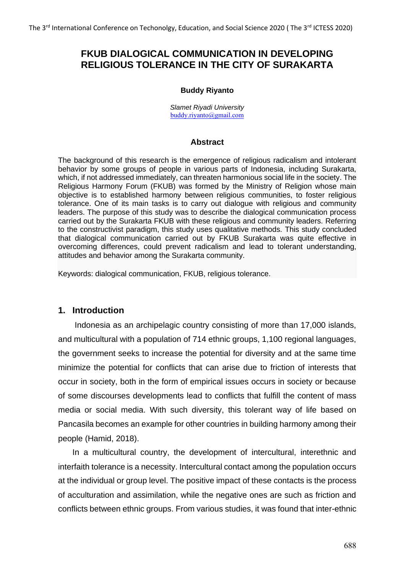# **FKUB DIALOGICAL COMMUNICATION IN DEVELOPING RELIGIOUS TOLERANCE IN THE CITY OF SURAKARTA**

# **Buddy Riyanto**

*Slamet Riyadi University* [buddy.riyanto@gmail.com](mailto:buddy.riyanto@gmail.com)

# **Abstract**

The background of this research is the emergence of religious radicalism and intolerant behavior by some groups of people in various parts of Indonesia, including Surakarta, which, if not addressed immediately, can threaten harmonious social life in the society. The Religious Harmony Forum (FKUB) was formed by the Ministry of Religion whose main objective is to established harmony between religious communities, to foster religious tolerance. One of its main tasks is to carry out dialogue with religious and community leaders. The purpose of this study was to describe the dialogical communication process carried out by the Surakarta FKUB with these religious and community leaders. Referring to the constructivist paradigm, this study uses qualitative methods. This study concluded that dialogical communication carried out by FKUB Surakarta was quite effective in overcoming differences, could prevent radicalism and lead to tolerant understanding, attitudes and behavior among the Surakarta community.

Keywords: dialogical communication, FKUB, religious tolerance.

# **1. Introduction**

Indonesia as an archipelagic country consisting of more than 17,000 islands, and multicultural with a population of 714 ethnic groups, 1,100 regional languages, the government seeks to increase the potential for diversity and at the same time minimize the potential for conflicts that can arise due to friction of interests that occur in society, both in the form of empirical issues occurs in society or because of some discourses developments lead to conflicts that fulfill the content of mass media or social media. With such diversity, this tolerant way of life based on Pancasila becomes an example for other countries in building harmony among their people (Hamid, 2018).

In a multicultural country, the development of intercultural, interethnic and interfaith tolerance is a necessity. Intercultural contact among the population occurs at the individual or group level. The positive impact of these contacts is the process of acculturation and assimilation, while the negative ones are such as friction and conflicts between ethnic groups. From various studies, it was found that inter-ethnic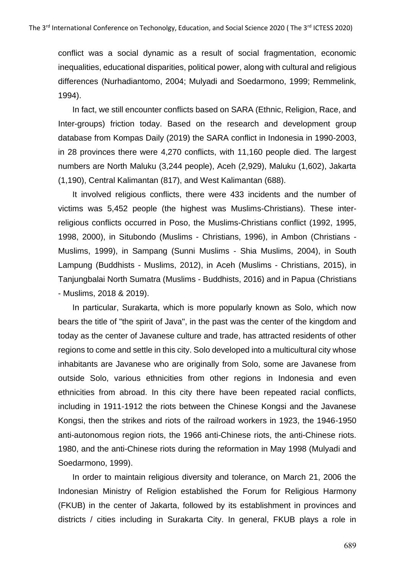conflict was a social dynamic as a result of social fragmentation, economic inequalities, educational disparities, political power, along with cultural and religious differences (Nurhadiantomo, 2004; Mulyadi and Soedarmono, 1999; Remmelink, 1994).

In fact, we still encounter conflicts based on SARA (Ethnic, Religion, Race, and Inter-groups) friction today. Based on the research and development group database from Kompas Daily (2019) the SARA conflict in Indonesia in 1990-2003, in 28 provinces there were 4,270 conflicts, with 11,160 people died. The largest numbers are North Maluku (3,244 people), Aceh (2,929), Maluku (1,602), Jakarta (1,190), Central Kalimantan (817), and West Kalimantan (688).

It involved religious conflicts, there were 433 incidents and the number of victims was 5,452 people (the highest was Muslims-Christians). These interreligious conflicts occurred in Poso, the Muslims-Christians conflict (1992, 1995, 1998, 2000), in Situbondo (Muslims - Christians, 1996), in Ambon (Christians - Muslims, 1999), in Sampang (Sunni Muslims - Shia Muslims, 2004), in South Lampung (Buddhists - Muslims, 2012), in Aceh (Muslims - Christians, 2015), in Tanjungbalai North Sumatra (Muslims - Buddhists, 2016) and in Papua (Christians - Muslims, 2018 & 2019).

In particular, Surakarta, which is more popularly known as Solo, which now bears the title of "the spirit of Java", in the past was the center of the kingdom and today as the center of Javanese culture and trade, has attracted residents of other regions to come and settle in this city. Solo developed into a multicultural city whose inhabitants are Javanese who are originally from Solo, some are Javanese from outside Solo, various ethnicities from other regions in Indonesia and even ethnicities from abroad. In this city there have been repeated racial conflicts, including in 1911-1912 the riots between the Chinese Kongsi and the Javanese Kongsi, then the strikes and riots of the railroad workers in 1923, the 1946-1950 anti-autonomous region riots, the 1966 anti-Chinese riots, the anti-Chinese riots. 1980, and the anti-Chinese riots during the reformation in May 1998 (Mulyadi and Soedarmono, 1999).

In order to maintain religious diversity and tolerance, on March 21, 2006 the Indonesian Ministry of Religion established the Forum for Religious Harmony (FKUB) in the center of Jakarta, followed by its establishment in provinces and districts / cities including in Surakarta City. In general, FKUB plays a role in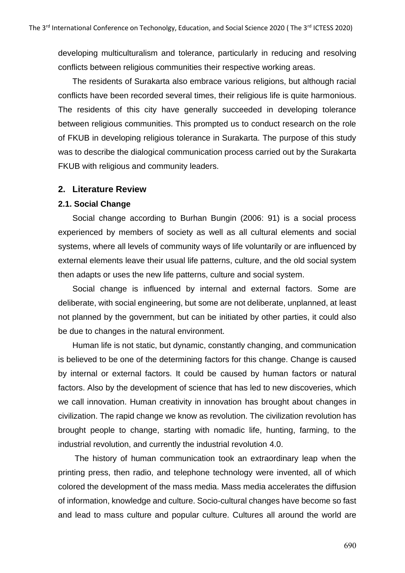developing multiculturalism and tolerance, particularly in reducing and resolving conflicts between religious communities their respective working areas.

The residents of Surakarta also embrace various religions, but although racial conflicts have been recorded several times, their religious life is quite harmonious. The residents of this city have generally succeeded in developing tolerance between religious communities. This prompted us to conduct research on the role of FKUB in developing religious tolerance in Surakarta. The purpose of this study was to describe the dialogical communication process carried out by the Surakarta FKUB with religious and community leaders.

# **2. Literature Review**

# **2.1. Social Change**

Social change according to Burhan Bungin (2006: 91) is a social process experienced by members of society as well as all cultural elements and social systems, where all levels of community ways of life voluntarily or are influenced by external elements leave their usual life patterns, culture, and the old social system then adapts or uses the new life patterns, culture and social system.

Social change is influenced by internal and external factors. Some are deliberate, with social engineering, but some are not deliberate, unplanned, at least not planned by the government, but can be initiated by other parties, it could also be due to changes in the natural environment.

Human life is not static, but dynamic, constantly changing, and communication is believed to be one of the determining factors for this change. Change is caused by internal or external factors. It could be caused by human factors or natural factors. Also by the development of science that has led to new discoveries, which we call innovation. Human creativity in innovation has brought about changes in civilization. The rapid change we know as revolution. The civilization revolution has brought people to change, starting with nomadic life, hunting, farming, to the industrial revolution, and currently the industrial revolution 4.0.

The history of human communication took an extraordinary leap when the printing press, then radio, and telephone technology were invented, all of which colored the development of the mass media. Mass media accelerates the diffusion of information, knowledge and culture. Socio-cultural changes have become so fast and lead to mass culture and popular culture. Cultures all around the world are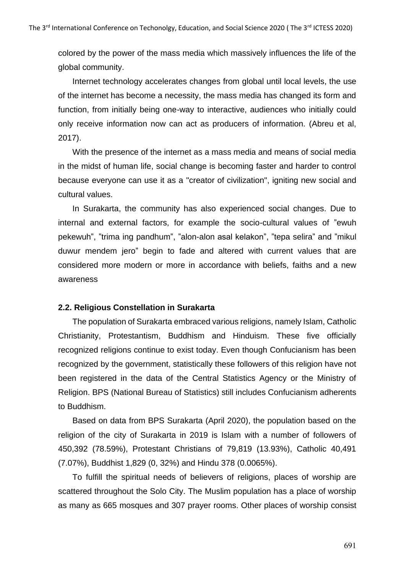colored by the power of the mass media which massively influences the life of the global community.

Internet technology accelerates changes from global until local levels, the use of the internet has become a necessity, the mass media has changed its form and function, from initially being one-way to interactive, audiences who initially could only receive information now can act as producers of information. (Abreu et al, 2017).

With the presence of the internet as a mass media and means of social media in the midst of human life, social change is becoming faster and harder to control because everyone can use it as a "creator of civilization", igniting new social and cultural values.

In Surakarta, the community has also experienced social changes. Due to internal and external factors, for example the socio-cultural values of "ewuh pekewuh", "trima ing pandhum", "alon-alon asal kelakon", "tepa selira" and "mikul duwur mendem jero" begin to fade and altered with current values that are considered more modern or more in accordance with beliefs, faiths and a new awareness

#### **2.2. Religious Constellation in Surakarta**

The population of Surakarta embraced various religions, namely Islam, Catholic Christianity, Protestantism, Buddhism and Hinduism. These five officially recognized religions continue to exist today. Even though Confucianism has been recognized by the government, statistically these followers of this religion have not been registered in the data of the Central Statistics Agency or the Ministry of Religion. BPS (National Bureau of Statistics) still includes Confucianism adherents to Buddhism.

Based on data from BPS Surakarta (April 2020), the population based on the religion of the city of Surakarta in 2019 is Islam with a number of followers of 450,392 (78.59%), Protestant Christians of 79,819 (13.93%), Catholic 40,491 (7.07%), Buddhist 1,829 (0, 32%) and Hindu 378 (0.0065%).

To fulfill the spiritual needs of believers of religions, places of worship are scattered throughout the Solo City. The Muslim population has a place of worship as many as 665 mosques and 307 prayer rooms. Other places of worship consist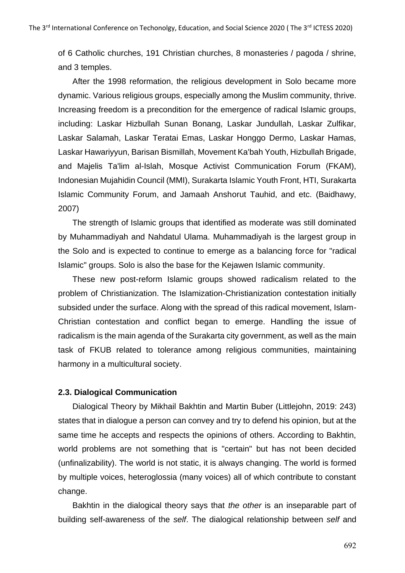of 6 Catholic churches, 191 Christian churches, 8 monasteries / pagoda / shrine, and 3 temples.

After the 1998 reformation, the religious development in Solo became more dynamic. Various religious groups, especially among the Muslim community, thrive. Increasing freedom is a precondition for the emergence of radical Islamic groups, including: Laskar Hizbullah Sunan Bonang, Laskar Jundullah, Laskar Zulfikar, Laskar Salamah, Laskar Teratai Emas, Laskar Honggo Dermo, Laskar Hamas, Laskar Hawariyyun, Barisan Bismillah, Movement Ka'bah Youth, Hizbullah Brigade, and Majelis Ta'lim al-Islah, Mosque Activist Communication Forum (FKAM), Indonesian Mujahidin Council (MMI), Surakarta Islamic Youth Front, HTI, Surakarta Islamic Community Forum, and Jamaah Anshorut Tauhid, and etc. (Baidhawy, 2007)

The strength of Islamic groups that identified as moderate was still dominated by Muhammadiyah and Nahdatul Ulama. Muhammadiyah is the largest group in the Solo and is expected to continue to emerge as a balancing force for "radical Islamic" groups. Solo is also the base for the Kejawen Islamic community.

These new post-reform Islamic groups showed radicalism related to the problem of Christianization. The Islamization-Christianization contestation initially subsided under the surface. Along with the spread of this radical movement, Islam-Christian contestation and conflict began to emerge. Handling the issue of radicalism is the main agenda of the Surakarta city government, as well as the main task of FKUB related to tolerance among religious communities, maintaining harmony in a multicultural society.

# **2.3. Dialogical Communication**

Dialogical Theory by Mikhail Bakhtin and Martin Buber (Littlejohn, 2019: 243) states that in dialogue a person can convey and try to defend his opinion, but at the same time he accepts and respects the opinions of others. According to Bakhtin, world problems are not something that is "certain" but has not been decided (unfinalizability). The world is not static, it is always changing. The world is formed by multiple voices, heteroglossia (many voices) all of which contribute to constant change.

Bakhtin in the dialogical theory says that *the other* is an inseparable part of building self-awareness of the *self*. The dialogical relationship between *self* and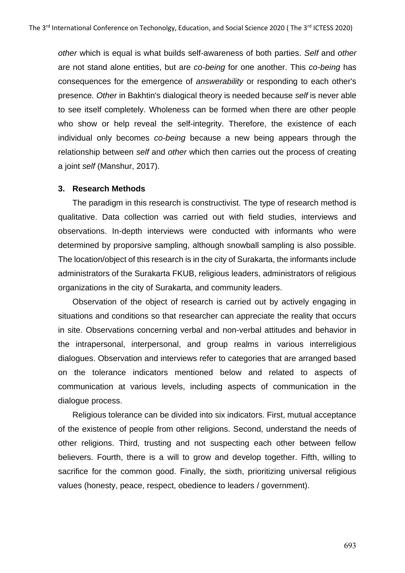*other* which is equal is what builds self-awareness of both parties. *Self* and *other* are not stand alone entities, but are *co-being* for one another. This *co-being* has consequences for the emergence of *answerability* or responding to each other's presence*. Other* in Bakhtin's dialogical theory is needed because *self* is never able to see itself completely. Wholeness can be formed when there are other people who show or help reveal the self-integrity. Therefore, the existence of each individual only becomes *co-being* because a new being appears through the relationship between *self* and *other* which then carries out the process of creating a joint *self* (Manshur, 2017).

#### **3. Research Methods**

The paradigm in this research is constructivist. The type of research method is qualitative. Data collection was carried out with field studies, interviews and observations. In-depth interviews were conducted with informants who were determined by proporsive sampling, although snowball sampling is also possible. The location/object of this research is in the city of Surakarta, the informants include administrators of the Surakarta FKUB, religious leaders, administrators of religious organizations in the city of Surakarta, and community leaders.

Observation of the object of research is carried out by actively engaging in situations and conditions so that researcher can appreciate the reality that occurs in site. Observations concerning verbal and non-verbal attitudes and behavior in the intrapersonal, interpersonal, and group realms in various interreligious dialogues. Observation and interviews refer to categories that are arranged based on the tolerance indicators mentioned below and related to aspects of communication at various levels, including aspects of communication in the dialogue process.

Religious tolerance can be divided into six indicators. First, mutual acceptance of the existence of people from other religions. Second, understand the needs of other religions. Third, trusting and not suspecting each other between fellow believers. Fourth, there is a will to grow and develop together. Fifth, willing to sacrifice for the common good. Finally, the sixth, prioritizing universal religious values (honesty, peace, respect, obedience to leaders / government).

693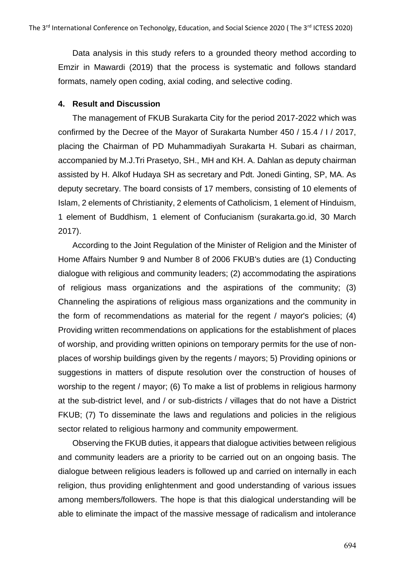Data analysis in this study refers to a grounded theory method according to Emzir in Mawardi (2019) that the process is systematic and follows standard formats, namely open coding, axial coding, and selective coding.

# **4. Result and Discussion**

The management of FKUB Surakarta City for the period 2017-2022 which was confirmed by the Decree of the Mayor of Surakarta Number 450 / 15.4 / I / 2017, placing the Chairman of PD Muhammadiyah Surakarta H. Subari as chairman, accompanied by M.J.Tri Prasetyo, SH., MH and KH. A. Dahlan as deputy chairman assisted by H. Alkof Hudaya SH as secretary and Pdt. Jonedi Ginting, SP, MA. As deputy secretary. The board consists of 17 members, consisting of 10 elements of Islam, 2 elements of Christianity, 2 elements of Catholicism, 1 element of Hinduism, 1 element of Buddhism, 1 element of Confucianism (surakarta.go.id, 30 March 2017).

According to the Joint Regulation of the Minister of Religion and the Minister of Home Affairs Number 9 and Number 8 of 2006 FKUB's duties are (1) Conducting dialogue with religious and community leaders; (2) accommodating the aspirations of religious mass organizations and the aspirations of the community; (3) Channeling the aspirations of religious mass organizations and the community in the form of recommendations as material for the regent / mayor's policies; (4) Providing written recommendations on applications for the establishment of places of worship, and providing written opinions on temporary permits for the use of nonplaces of worship buildings given by the regents / mayors; 5) Providing opinions or suggestions in matters of dispute resolution over the construction of houses of worship to the regent / mayor; (6) To make a list of problems in religious harmony at the sub-district level, and / or sub-districts / villages that do not have a District FKUB; (7) To disseminate the laws and regulations and policies in the religious sector related to religious harmony and community empowerment.

Observing the FKUB duties, it appears that dialogue activities between religious and community leaders are a priority to be carried out on an ongoing basis. The dialogue between religious leaders is followed up and carried on internally in each religion, thus providing enlightenment and good understanding of various issues among members/followers. The hope is that this dialogical understanding will be able to eliminate the impact of the massive message of radicalism and intolerance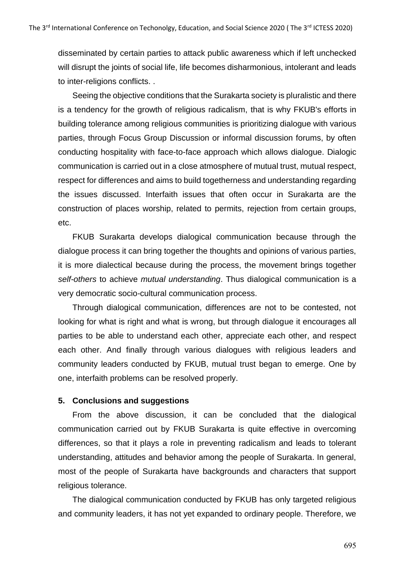disseminated by certain parties to attack public awareness which if left unchecked will disrupt the joints of social life, life becomes disharmonious, intolerant and leads to inter-religions conflicts. .

Seeing the objective conditions that the Surakarta society is pluralistic and there is a tendency for the growth of religious radicalism, that is why FKUB's efforts in building tolerance among religious communities is prioritizing dialogue with various parties, through Focus Group Discussion or informal discussion forums, by often conducting hospitality with face-to-face approach which allows dialogue. Dialogic communication is carried out in a close atmosphere of mutual trust, mutual respect, respect for differences and aims to build togetherness and understanding regarding the issues discussed. Interfaith issues that often occur in Surakarta are the construction of places worship, related to permits, rejection from certain groups, etc.

FKUB Surakarta develops dialogical communication because through the dialogue process it can bring together the thoughts and opinions of various parties, it is more dialectical because during the process, the movement brings together *self-others* to achieve *mutual understanding*. Thus dialogical communication is a very democratic socio-cultural communication process.

Through dialogical communication, differences are not to be contested, not looking for what is right and what is wrong, but through dialogue it encourages all parties to be able to understand each other, appreciate each other, and respect each other. And finally through various dialogues with religious leaders and community leaders conducted by FKUB, mutual trust began to emerge. One by one, interfaith problems can be resolved properly.

#### **5. Conclusions and suggestions**

From the above discussion, it can be concluded that the dialogical communication carried out by FKUB Surakarta is quite effective in overcoming differences, so that it plays a role in preventing radicalism and leads to tolerant understanding, attitudes and behavior among the people of Surakarta. In general, most of the people of Surakarta have backgrounds and characters that support religious tolerance.

The dialogical communication conducted by FKUB has only targeted religious and community leaders, it has not yet expanded to ordinary people. Therefore, we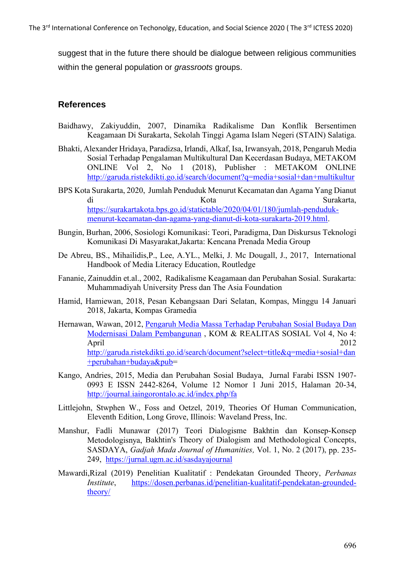suggest that in the future there should be dialogue between religious communities within the general population or *grassroots* groups.

# **References**

- Baidhawy, Zakiyuddin, 2007, Dinamika Radikalisme Dan Konflik Bersentimen Keagamaan Di Surakarta, Sekolah Tinggi Agama Islam Negeri (STAIN) Salatiga.
- Bhakti, Alexander Hridaya, Paradizsa, Irlandi, Alkaf, Isa, Irwansyah, 2018, Pengaruh Media Sosial Terhadap Pengalaman Multikultural Dan Kecerdasan Budaya, METAKOM ONLINE Vol 2, No 1 (2018), Publisher : METAKOM ONLINE <http://garuda.ristekdikti.go.id/search/document?q=media+sosial+dan+multikultur>
- BPS Kota Surakarta, 2020, Jumlah Penduduk Menurut Kecamatan dan Agama Yang Dianut di Kota Surakarta, [https://surakartakota.bps.go.id/statictable/2020/04/01/180/jumlah-penduduk](https://surakartakota.bps.go.id/statictable/2020/04/01/180/jumlah-penduduk-menurut-kecamatan-dan-agama-yang-dianut-di-kota-surakarta-2019.html)[menurut-kecamatan-dan-agama-yang-dianut-di-kota-surakarta-2019.html.](https://surakartakota.bps.go.id/statictable/2020/04/01/180/jumlah-penduduk-menurut-kecamatan-dan-agama-yang-dianut-di-kota-surakarta-2019.html)
- Bungin, Burhan, 2006, Sosiologi Komunikasi: Teori, Paradigma, Dan Diskursus Teknologi Komunikasi Di Masyarakat,Jakarta: Kencana Prenada Media Group
- De Abreu, BS., Mihailidis,P., Lee, A.YL., Melki, J. Mc Dougall, J., 2017, International Handbook of Media Literacy Education, Routledge
- Fananie, Zainuddin et.al., 2002, Radikalisme Keagamaan dan Perubahan Sosial. Surakarta: Muhammadiyah University Press dan The Asia Foundation
- Hamid, Hamiewan, 2018, Pesan Kebangsaan Dari Selatan, Kompas, Minggu 14 Januari 2018, Jakarta, Kompas Gramedia
- Hernawan, Wawan, 2012, [Pengaruh Media Massa Terhadap Perubahan Sosial Budaya Dan](http://garuda.ristekdikti.go.id/journal/article/165525)  [Modernisasi Dalam Pembangunan](http://garuda.ristekdikti.go.id/journal/article/165525) , KOM & REALITAS SOSIAL Vol 4, No 4: April 2012 [http://garuda.ristekdikti.go.id/search/document?select=title&q=media+sosial+dan](http://garuda.ristekdikti.go.id/search/document?select=title&q=media+sosial+dan+perubahan+budaya&pub) [+perubahan+budaya&pub=](http://garuda.ristekdikti.go.id/search/document?select=title&q=media+sosial+dan+perubahan+budaya&pub)
- Kango, Andries, 2015, Media dan Perubahan Sosial Budaya, Jurnal Farabi ISSN 1907- 0993 E ISSN 2442-8264, Volume 12 Nomor 1 Juni 2015, Halaman 20-34, <http://journal.iaingorontalo.ac.id/index.php/fa>
- Littlejohn, Stwphen W., Foss and Oetzel, 2019, Theories Of Human Communication, Eleventh Edition, Long Grove, Illinois: Waveland Press, Inc.
- Manshur, Fadli Munawar (2017) Teori Dialogisme Bakhtin dan Konsep-Konsep Metodologisnya, Bakhtin's Theory of Dialogism and Methodological Concepts, SASDAYA, *Gadjah Mada Journal of Humanities,* Vol. 1, No. 2 (2017), pp. 235- 249, <https://jurnal.ugm.ac.id/sasdayajournal>
- Mawardi,Rizal (2019) Penelitian Kualitatif : Pendekatan Grounded Theory, *Perbanas Institute*, [https://dosen.perbanas.id/penelitian-kualitatif-pendekatan-grounded](https://dosen.perbanas.id/penelitian-kualitatif-pendekatan-grounded-theory/)[theory/](https://dosen.perbanas.id/penelitian-kualitatif-pendekatan-grounded-theory/)